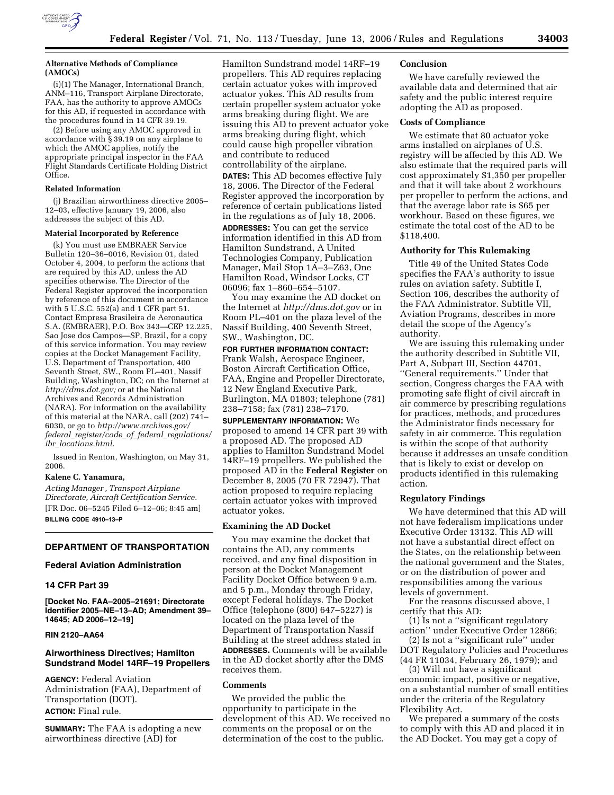

(i)(1) The Manager, International Branch, ANM–116, Transport Airplane Directorate, FAA, has the authority to approve AMOCs for this AD, if requested in accordance with the procedures found in 14 CFR 39.19.

(2) Before using any AMOC approved in accordance with § 39.19 on any airplane to which the AMOC applies, notify the appropriate principal inspector in the FAA Flight Standards Certificate Holding District Office.

### **Related Information**

(j) Brazilian airworthiness directive 2005– 12–03, effective January 19, 2006, also addresses the subject of this AD.

#### **Material Incorporated by Reference**

(k) You must use EMBRAER Service Bulletin 120–36–0016, Revision 01, dated October 4, 2004, to perform the actions that are required by this AD, unless the AD specifies otherwise. The Director of the Federal Register approved the incorporation by reference of this document in accordance with 5 U.S.C. 552(a) and 1 CFR part 51. Contact Empresa Brasileira de Aeronautica S.A. (EMBRAER), P.O. Box 343—CEP 12.225, Sao Jose dos Campos—SP, Brazil, for a copy of this service information. You may review copies at the Docket Management Facility, U.S. Department of Transportation, 400 Seventh Street, SW., Room PL–401, Nassif Building, Washington, DC; on the Internet at *http://dms.dot.gov;* or at the National Archives and Records Administration (NARA). For information on the availability of this material at the NARA, call (202) 741– 6030, or go to *http://www.archives.gov/ federal*\_*register/code*\_*of*\_*federal*\_*regulations/ ibr*\_*locations.html.* 

Issued in Renton, Washington, on May 31, 2006.

#### **Kalene C. Yanamura,**

*Acting Manager , Transport Airplane Directorate, Aircraft Certification Service.*  [FR Doc. 06–5245 Filed 6–12–06; 8:45 am] **BILLING CODE 4910–13–P** 

# **DEPARTMENT OF TRANSPORTATION**

### **Federal Aviation Administration**

## **14 CFR Part 39**

**[Docket No. FAA–2005–21691; Directorate Identifier 2005–NE–13–AD; Amendment 39– 14645; AD 2006–12–19]** 

## **RIN 2120–AA64**

## **Airworthiness Directives; Hamilton Sundstrand Model 14RF–19 Propellers**

**AGENCY:** Federal Aviation Administration (FAA), Department of Transportation (DOT). **ACTION:** Final rule.

**SUMMARY:** The FAA is adopting a new airworthiness directive (AD) for

Hamilton Sundstrand model 14RF–19 propellers. This AD requires replacing certain actuator yokes with improved actuator yokes. This AD results from certain propeller system actuator yoke arms breaking during flight. We are issuing this AD to prevent actuator yoke arms breaking during flight, which could cause high propeller vibration and contribute to reduced controllability of the airplane.

**DATES:** This AD becomes effective July 18, 2006. The Director of the Federal Register approved the incorporation by reference of certain publications listed in the regulations as of July 18, 2006. **ADDRESSES:** You can get the service information identified in this AD from Hamilton Sundstrand, A United Technologies Company, Publication Manager, Mail Stop 1A–3–Z63, One Hamilton Road, Windsor Locks, CT 06096; fax 1–860–654–5107.

You may examine the AD docket on the Internet at *http://dms.dot.gov* or in Room PL–401 on the plaza level of the Nassif Building, 400 Seventh Street, SW., Washington, DC.

#### **FOR FURTHER INFORMATION CONTACT:**

Frank Walsh, Aerospace Engineer, Boston Aircraft Certification Office, FAA, Engine and Propeller Directorate, 12 New England Executive Park, Burlington, MA 01803; telephone (781) 238–7158; fax (781) 238–7170.

**SUPPLEMENTARY INFORMATION:** We proposed to amend 14 CFR part 39 with a proposed AD. The proposed AD applies to Hamilton Sundstrand Model 14RF–19 propellers. We published the proposed AD in the **Federal Register** on December 8, 2005 (70 FR 72947). That action proposed to require replacing certain actuator yokes with improved actuator yokes.

#### **Examining the AD Docket**

You may examine the docket that contains the AD, any comments received, and any final disposition in person at the Docket Management Facility Docket Office between 9 a.m. and 5 p.m., Monday through Friday, except Federal holidays. The Docket Office (telephone (800) 647–5227) is located on the plaza level of the Department of Transportation Nassif Building at the street address stated in **ADDRESSES.** Comments will be available in the AD docket shortly after the DMS receives them.

### **Comments**

We provided the public the opportunity to participate in the development of this AD. We received no comments on the proposal or on the determination of the cost to the public.

## **Conclusion**

We have carefully reviewed the available data and determined that air safety and the public interest require adopting the AD as proposed.

## **Costs of Compliance**

We estimate that 80 actuator yoke arms installed on airplanes of U.S. registry will be affected by this AD. We also estimate that the required parts will cost approximately \$1,350 per propeller and that it will take about 2 workhours per propeller to perform the actions, and that the average labor rate is \$65 per workhour. Based on these figures, we estimate the total cost of the AD to be \$118,400.

#### **Authority for This Rulemaking**

Title 49 of the United States Code specifies the FAA's authority to issue rules on aviation safety. Subtitle I, Section 106, describes the authority of the FAA Administrator. Subtitle VII, Aviation Programs, describes in more detail the scope of the Agency's authority.

We are issuing this rulemaking under the authority described in Subtitle VII, Part A, Subpart III, Section 44701, ''General requirements.'' Under that section, Congress charges the FAA with promoting safe flight of civil aircraft in air commerce by prescribing regulations for practices, methods, and procedures the Administrator finds necessary for safety in air commerce. This regulation is within the scope of that authority because it addresses an unsafe condition that is likely to exist or develop on products identified in this rulemaking action.

### **Regulatory Findings**

We have determined that this AD will not have federalism implications under Executive Order 13132. This AD will not have a substantial direct effect on the States, on the relationship between the national government and the States, or on the distribution of power and responsibilities among the various levels of government.

For the reasons discussed above, I certify that this AD:

(1) Is not a ''significant regulatory action'' under Executive Order 12866;

(2) Is not a ''significant rule'' under DOT Regulatory Policies and Procedures (44 FR 11034, February 26, 1979); and

(3) Will not have a significant economic impact, positive or negative, on a substantial number of small entities under the criteria of the Regulatory Flexibility Act.

We prepared a summary of the costs to comply with this AD and placed it in the AD Docket. You may get a copy of